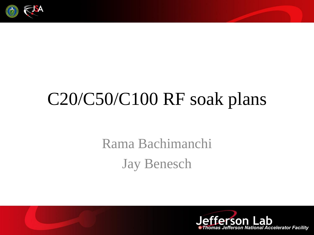

# C20/C50/C100 RF soak plans

#### Rama Bachimanchi Jay Benesch

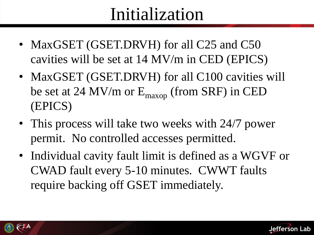### Initialization

- MaxGSET (GSET.DRVH) for all C25 and C50 cavities will be set at 14 MV/m in CED (EPICS)
- MaxGSET (GSET.DRVH) for all C100 cavities will be set at 24 MV/m or  $E_{\text{maxop}}$  (from SRF) in CED (EPICS)
- This process will take two weeks with 24/7 power permit. No controlled accesses permitted.
- Individual cavity fault limit is defined as a WGVF or CWAD fault every 5-10 minutes. CWWT faults require backing off GSET immediately.



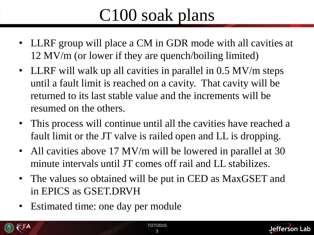### C100 soak plans

- LLRF group will place a CM in GDR mode with all cavities at 12 MV/m (or lower if they are quench/boiling limited)
- LLRF will walk up all cavities in parallel in 0.5 MV/m steps until a fault limit is reached on a cavity. That cavity will be returned to its last stable value and the increments will be resumed on the others.
- This process will continue until all the cavities have reached a fault limit or the JT valve is railed open and LL is dropping.
- All cavities above 17 MV/m will be lowered in parallel at 30 minute intervals until JT comes off rail and LL stabilizes.
- The values so obtained will be put in CED as MaxGSET and in EPICS as GSET.DRVH
- Estimated time: one day per module



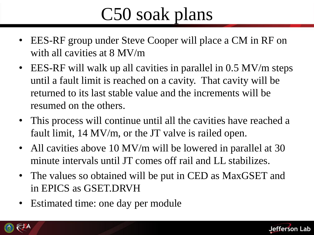## C50 soak plans

- EES-RF group under Steve Cooper will place a CM in RF on with all cavities at 8 MV/m
- EES-RF will walk up all cavities in parallel in 0.5 MV/m steps until a fault limit is reached on a cavity. That cavity will be returned to its last stable value and the increments will be resumed on the others.
- This process will continue until all the cavities have reached a fault limit, 14 MV/m, or the JT valve is railed open.
- All cavities above 10 MV/m will be lowered in parallel at 30 minute intervals until JT comes off rail and LL stabilizes.
- The values so obtained will be put in CED as MaxGSET and in EPICS as GSET.DRVH
- Estimated time: one day per module



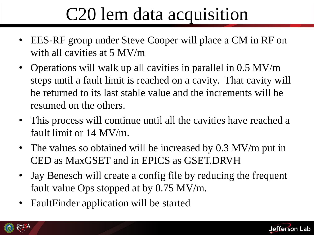## C20 lem data acquisition

- EES-RF group under Steve Cooper will place a CM in RF on with all cavities at 5 MV/m
- Operations will walk up all cavities in parallel in 0.5 MV/m steps until a fault limit is reached on a cavity. That cavity will be returned to its last stable value and the increments will be resumed on the others.
- This process will continue until all the cavities have reached a fault limit or 14 MV/m.
- The values so obtained will be increased by 0.3 MV/m put in CED as MaxGSET and in EPICS as GSET.DRVH
- Jay Benesch will create a config file by reducing the frequent fault value Ops stopped at by 0.75 MV/m.
- Fault Finder application will be started



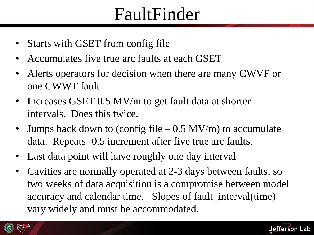### FaultFinder

- Starts with GSET from config file
- Accumulates five true arc faults at each GSET
- Alerts operators for decision when there are many CWVF or one CWWT fault
- Increases GSET 0.5 MV/m to get fault data at shorter intervals. Does this twice.
- Jumps back down to (config file  $-0.5$  MV/m) to accumulate data. Repeats -0.5 increment after five true arc faults.
- Last data point will have roughly one day interval
- Cavities are normally operated at 2-3 days between faults, so two weeks of data acquisition is a compromise between model accuracy and calendar time. Slopes of fault\_interval(time) vary widely and must be accommodated.